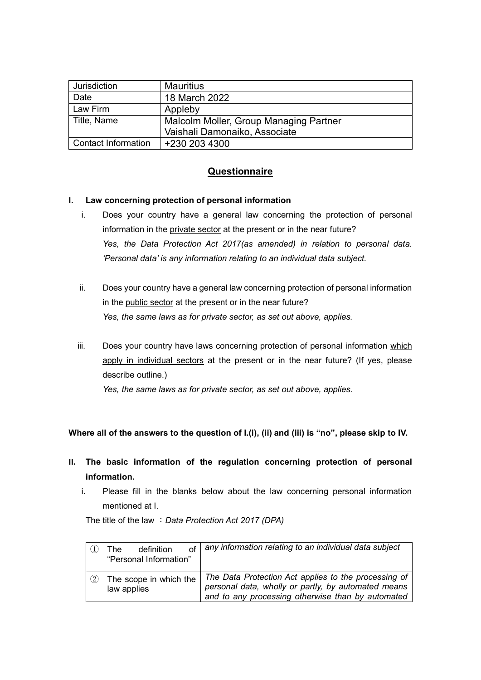| Jurisdiction        | <b>Mauritius</b>                       |  |
|---------------------|----------------------------------------|--|
| Date                | 18 March 2022                          |  |
| Law Firm            | Appleby                                |  |
| Title, Name         | Malcolm Moller, Group Managing Partner |  |
|                     | Vaishali Damonaiko, Associate          |  |
| Contact Information | +230 203 4300                          |  |

# **Questionnaire**

### **I. Law concerning protection of personal information**

- i. Does your country have a general law concerning the protection of personal information in the private sector at the present or in the near future? *Yes, the Data Protection Act 2017(as amended) in relation to personal data. 'Personal data' is any information relating to an individual data subject.*
- ii. Does your country have a general law concerning protection of personal information in the public sector at the present or in the near future? *Yes, the same laws as for private sector, as set out above, applies.*
- iii. Does your country have laws concerning protection of personal information which apply in individual sectors at the present or in the near future? (If yes, please describe outline.)

*Yes, the same laws as for private sector, as set out above, applies.*

**Where all of the answers to the question of I.(i), (ii) and (iii) is "no", please skip to IV.**

- **II. The basic information of the regulation concerning protection of personal information.**
	- i. Please fill in the blanks below about the law concerning personal information mentioned at I.

The title of the law :*Data Protection Act 2017 (DPA)*

|     | of<br>definition<br>The .<br>"Personal Information" | any information relating to an individual data subject                                                                                                           |
|-----|-----------------------------------------------------|------------------------------------------------------------------------------------------------------------------------------------------------------------------|
| (2) | The scope in which the<br>law applies               | The Data Protection Act applies to the processing of<br>personal data, wholly or partly, by automated means<br>and to any processing otherwise than by automated |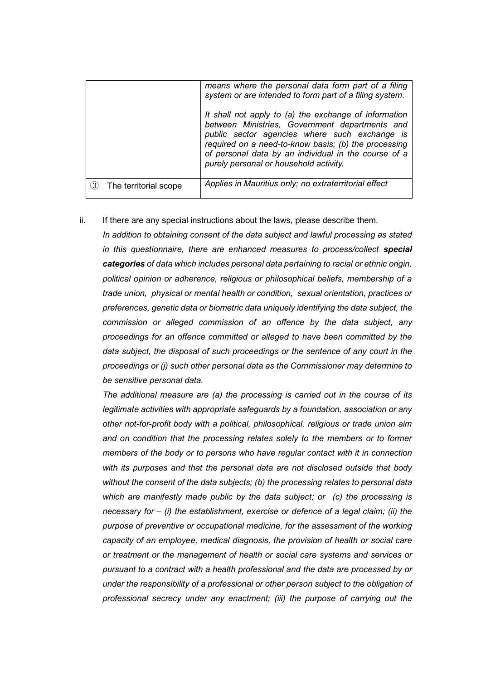| The territorial scope<br>3) | It shall not apply to (a) the exchange of information<br>between Ministries, Government departments and<br>public sector agencies where such exchange is<br>required on a need-to-know basis; (b) the processing<br>of personal data by an individual in the course of a<br>purely personal or household activity.<br>Applies in Mauritius only; no extraterritorial effect |
|-----------------------------|-----------------------------------------------------------------------------------------------------------------------------------------------------------------------------------------------------------------------------------------------------------------------------------------------------------------------------------------------------------------------------|
|                             |                                                                                                                                                                                                                                                                                                                                                                             |
|                             |                                                                                                                                                                                                                                                                                                                                                                             |
|                             | system or are intended to form part of a filing system.                                                                                                                                                                                                                                                                                                                     |
|                             | means where the personal data form part of a filing                                                                                                                                                                                                                                                                                                                         |

ii. If there are any special instructions about the laws, please describe them.

*In addition to obtaining consent of the data subject and lawful processing as stated in this questionnaire, there are enhanced measures to process/collect special categories of data which includes personal data pertaining to racial or ethnic origin, political opinion or adherence, religious or philosophical beliefs, membership of a trade union, physical or mental health or condition, sexual orientation, practices or preferences, genetic data or biometric data uniquely identifying the data subject, the commission or alleged commission of an offence by the data subject, any proceedings for an offence committed or alleged to have been committed by the data subject, the disposal of such proceedings or the sentence of any court in the proceedings or (j) such other personal data as the Commissioner may determine to be sensitive personal data.* 

*The additional measure are (a) the processing is carried out in the course of its legitimate activities with appropriate safeguards by a foundation, association or any other not-for-profit body with a political, philosophical, religious or trade union aim and on condition that the processing relates solely to the members or to former members of the body or to persons who have regular contact with it in connection with its purposes and that the personal data are not disclosed outside that body without the consent of the data subjects; (b) the processing relates to personal data which are manifestly made public by the data subject; or (c) the processing is necessary for – (i) the establishment, exercise or defence of a legal claim; (ii) the purpose of preventive or occupational medicine, for the assessment of the working capacity of an employee, medical diagnosis, the provision of health or social care or treatment or the management of health or social care systems and services or pursuant to a contract with a health professional and the data are processed by or under the responsibility of a professional or other person subject to the obligation of professional secrecy under any enactment; (iii) the purpose of carrying out the*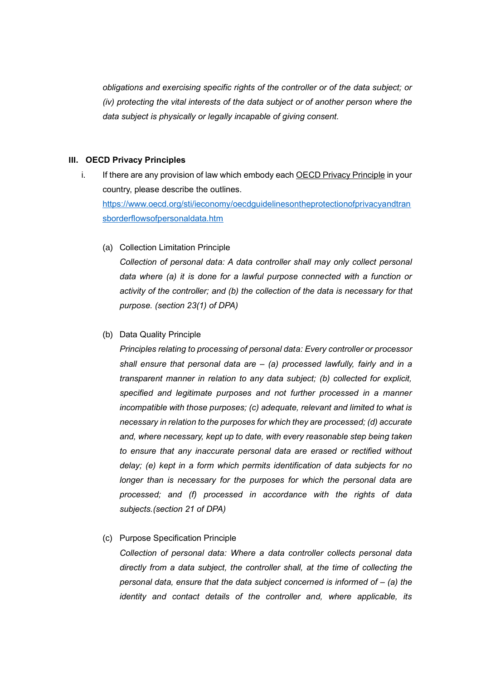*obligations and exercising specific rights of the controller or of the data subject; or (iv) protecting the vital interests of the data subject or of another person where the data subject is physically or legally incapable of giving consent.* 

## **III. OECD Privacy Principles**

- i. If there are any provision of law which embody each **OECD Privacy Principle** in your country, please describe the outlines. [https://www.oecd.org/sti/ieconomy/oecdguidelinesontheprotectionofprivacyandtran](https://www.oecd.org/sti/ieconomy/oecdguidelinesontheprotectionofprivacyandtransborderflowsofpersonaldata.htm) [sborderflowsofpersonaldata.htm](https://www.oecd.org/sti/ieconomy/oecdguidelinesontheprotectionofprivacyandtransborderflowsofpersonaldata.htm)
	- (a) Collection Limitation Principle

*Collection of personal data: A data controller shall may only collect personal data where (a) it is done for a lawful purpose connected with a function or activity of the controller; and (b) the collection of the data is necessary for that purpose. (section 23(1) of DPA)*

(b) Data Quality Principle

*Principles relating to processing of personal data: Every controller or processor shall ensure that personal data are – (a) processed lawfully, fairly and in a transparent manner in relation to any data subject; (b) collected for explicit, specified and legitimate purposes and not further processed in a manner incompatible with those purposes; (c) adequate, relevant and limited to what is necessary in relation to the purposes for which they are processed; (d) accurate and, where necessary, kept up to date, with every reasonable step being taken to ensure that any inaccurate personal data are erased or rectified without delay; (e) kept in a form which permits identification of data subjects for no longer than is necessary for the purposes for which the personal data are processed; and (f) processed in accordance with the rights of data subjects.(section 21 of DPA)*

(c) Purpose Specification Principle

*Collection of personal data: Where a data controller collects personal data directly from a data subject, the controller shall, at the time of collecting the personal data, ensure that the data subject concerned is informed of – (a) the identity and contact details of the controller and, where applicable, its*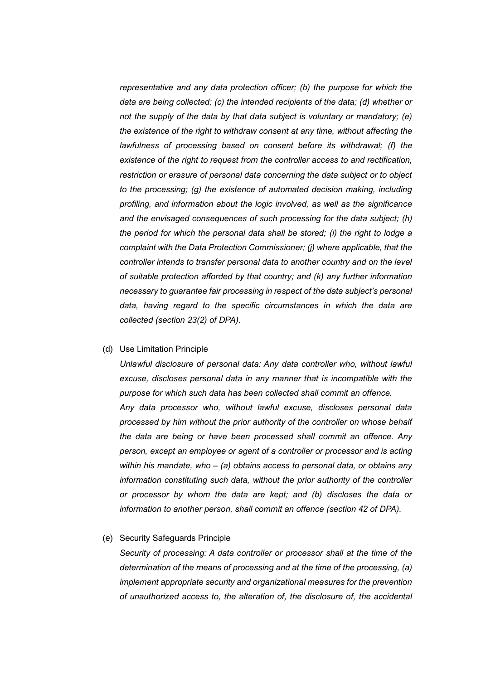*representative and any data protection officer; (b) the purpose for which the data are being collected; (c) the intended recipients of the data; (d) whether or not the supply of the data by that data subject is voluntary or mandatory; (e) the existence of the right to withdraw consent at any time, without affecting the lawfulness of processing based on consent before its withdrawal; (f) the existence of the right to request from the controller access to and rectification, restriction or erasure of personal data concerning the data subject or to object to the processing; (g) the existence of automated decision making, including profiling, and information about the logic involved, as well as the significance and the envisaged consequences of such processing for the data subject; (h) the period for which the personal data shall be stored; (i) the right to lodge a complaint with the Data Protection Commissioner; (j) where applicable, that the controller intends to transfer personal data to another country and on the level of suitable protection afforded by that country; and (k) any further information necessary to guarantee fair processing in respect of the data subject's personal data, having regard to the specific circumstances in which the data are collected (section 23(2) of DPA).*

### (d) Use Limitation Principle

*Unlawful disclosure of personal data: Any data controller who, without lawful excuse, discloses personal data in any manner that is incompatible with the purpose for which such data has been collected shall commit an offence. Any data processor who, without lawful excuse, discloses personal data processed by him without the prior authority of the controller on whose behalf the data are being or have been processed shall commit an offence. Any person, except an employee or agent of a controller or processor and is acting within his mandate, who – (a) obtains access to personal data, or obtains any information constituting such data, without the prior authority of the controller or processor by whom the data are kept; and (b) discloses the data or information to another person, shall commit an offence (section 42 of DPA).*

#### (e) Security Safeguards Principle

*Security of processing: A data controller or processor shall at the time of the determination of the means of processing and at the time of the processing, (a) implement appropriate security and organizational measures for the prevention of unauthorized access to, the alteration of, the disclosure of, the accidental*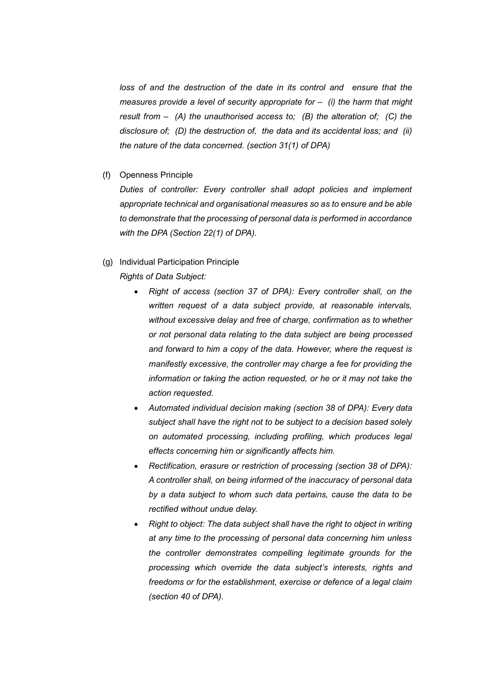*loss of and the destruction of the date in its control and ensure that the measures provide a level of security appropriate for – (i) the harm that might result from – (A) the unauthorised access to; (B) the alteration of; (C) the disclosure of; (D) the destruction of, the data and its accidental loss; and (ii) the nature of the data concerned. (section 31(1) of DPA)*

(f) Openness Principle

*Duties of controller: Every controller shall adopt policies and implement appropriate technical and organisational measures so as to ensure and be able to demonstrate that the processing of personal data is performed in accordance with the DPA (Section 22(1) of DPA).*

### (g) Individual Participation Principle

*Rights of Data Subject:* 

- *Right of access (section 37 of DPA): Every controller shall, on the written request of a data subject provide, at reasonable intervals, without excessive delay and free of charge, confirmation as to whether or not personal data relating to the data subject are being processed and forward to him a copy of the data. However, where the request is manifestly excessive, the controller may charge a fee for providing the information or taking the action requested, or he or it may not take the action requested.*
- *Automated individual decision making (section 38 of DPA): Every data subject shall have the right not to be subject to a decision based solely on automated processing, including profiling, which produces legal effects concerning him or significantly affects him.*
- *Rectification, erasure or restriction of processing (section 38 of DPA): A controller shall, on being informed of the inaccuracy of personal data by a data subject to whom such data pertains, cause the data to be rectified without undue delay.*
- *Right to object: The data subject shall have the right to object in writing at any time to the processing of personal data concerning him unless the controller demonstrates compelling legitimate grounds for the processing which override the data subject's interests, rights and freedoms or for the establishment, exercise or defence of a legal claim (section 40 of DPA).*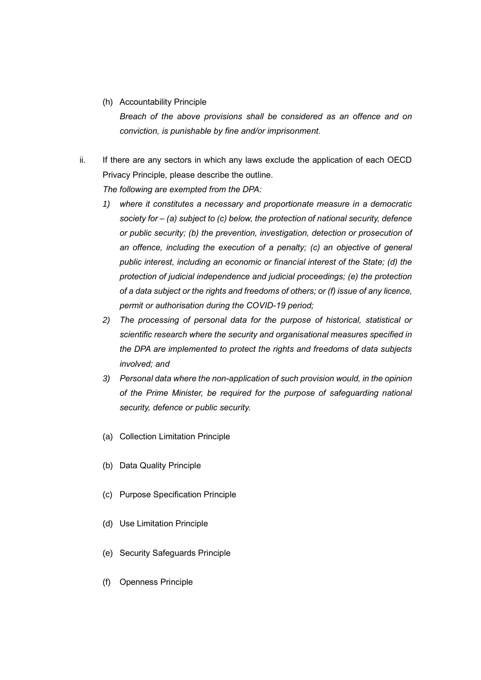(h) Accountability Principle

*Breach of the above provisions shall be considered as an offence and on conviction, is punishable by fine and/or imprisonment.*

ii. If there are any sectors in which any laws exclude the application of each OECD Privacy Principle, please describe the outline.

*The following are exempted from the DPA:*

- *1) where it constitutes a necessary and proportionate measure in a democratic society for – (a) subject to (c) below, the protection of national security, defence or public security; (b) the prevention, investigation, detection or prosecution of*  an offence, including the execution of a penalty; (c) an objective of general *public interest, including an economic or financial interest of the State; (d) the protection of judicial independence and judicial proceedings; (e) the protection of a data subject or the rights and freedoms of others; or (f) issue of any licence, permit or authorisation during the COVID-19 period;*
- *2) The processing of personal data for the purpose of historical, statistical or scientific research where the security and organisational measures specified in the DPA are implemented to protect the rights and freedoms of data subjects involved; and*
- *3) Personal data where the non-application of such provision would, in the opinion of the Prime Minister, be required for the purpose of safeguarding national security, defence or public security.*
- (a) Collection Limitation Principle
- (b) Data Quality Principle
- (c) Purpose Specification Principle
- (d) Use Limitation Principle
- (e) Security Safeguards Principle
- (f) Openness Principle